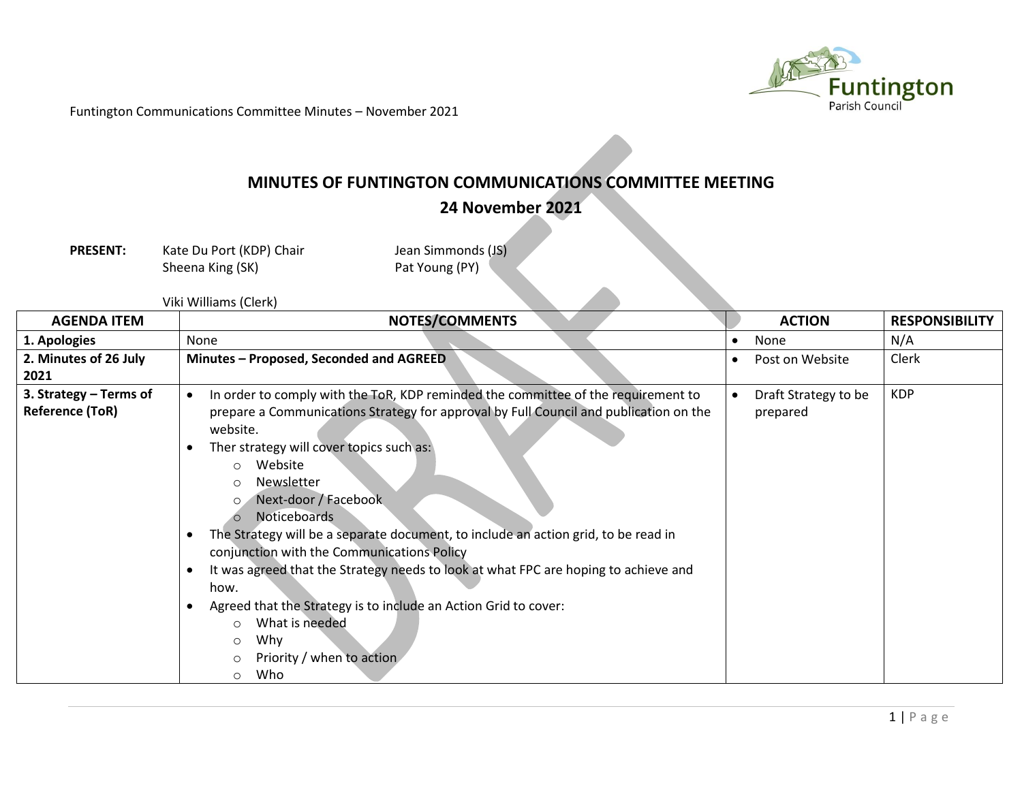

Funtington Communications Committee Minutes – November 2021

## **MINUTES OF FUNTINGTON COMMUNICATIONS COMMITTEE MEETING**

**24 November 2021**

**PRESENT:** Kate Du Port (KDP) Chair Jean Simmonds (JS)<br>Sheena King (SK) **Pat Young (PY)** Sheena King (SK)

|  | Viki Williams (Clerk) |  |
|--|-----------------------|--|
|--|-----------------------|--|

| <b>AGENDA ITEM</b>                               | NOTES/COMMENTS                                                                                                                                                                                                                                                                                                                                                                                                                                                                                                                                                                                                                                                                                                                                   |           | <b>ACTION</b>                    | <b>RESPONSIBILITY</b> |
|--------------------------------------------------|--------------------------------------------------------------------------------------------------------------------------------------------------------------------------------------------------------------------------------------------------------------------------------------------------------------------------------------------------------------------------------------------------------------------------------------------------------------------------------------------------------------------------------------------------------------------------------------------------------------------------------------------------------------------------------------------------------------------------------------------------|-----------|----------------------------------|-----------------------|
| 1. Apologies                                     | None                                                                                                                                                                                                                                                                                                                                                                                                                                                                                                                                                                                                                                                                                                                                             | $\bullet$ | None                             | N/A                   |
| 2. Minutes of 26 July<br>2021                    | Minutes - Proposed, Seconded and AGREED                                                                                                                                                                                                                                                                                                                                                                                                                                                                                                                                                                                                                                                                                                          | $\bullet$ | Post on Website                  | Clerk                 |
| 3. Strategy – Terms of<br><b>Reference (ToR)</b> | In order to comply with the ToR, KDP reminded the committee of the requirement to<br>$\bullet$<br>prepare a Communications Strategy for approval by Full Council and publication on the<br>website.<br>Ther strategy will cover topics such as:<br>Website<br>$\circ$<br>Newsletter<br>$\circ$<br>Next-door / Facebook<br>$\circ$<br><b>Noticeboards</b><br>The Strategy will be a separate document, to include an action grid, to be read in<br>conjunction with the Communications Policy<br>It was agreed that the Strategy needs to look at what FPC are hoping to achieve and<br>how.<br>Agreed that the Strategy is to include an Action Grid to cover:<br>What is needed<br>$\circ$<br>Why<br>Ω<br>Priority / when to action<br>Who<br>∩ | $\bullet$ | Draft Strategy to be<br>prepared | <b>KDP</b>            |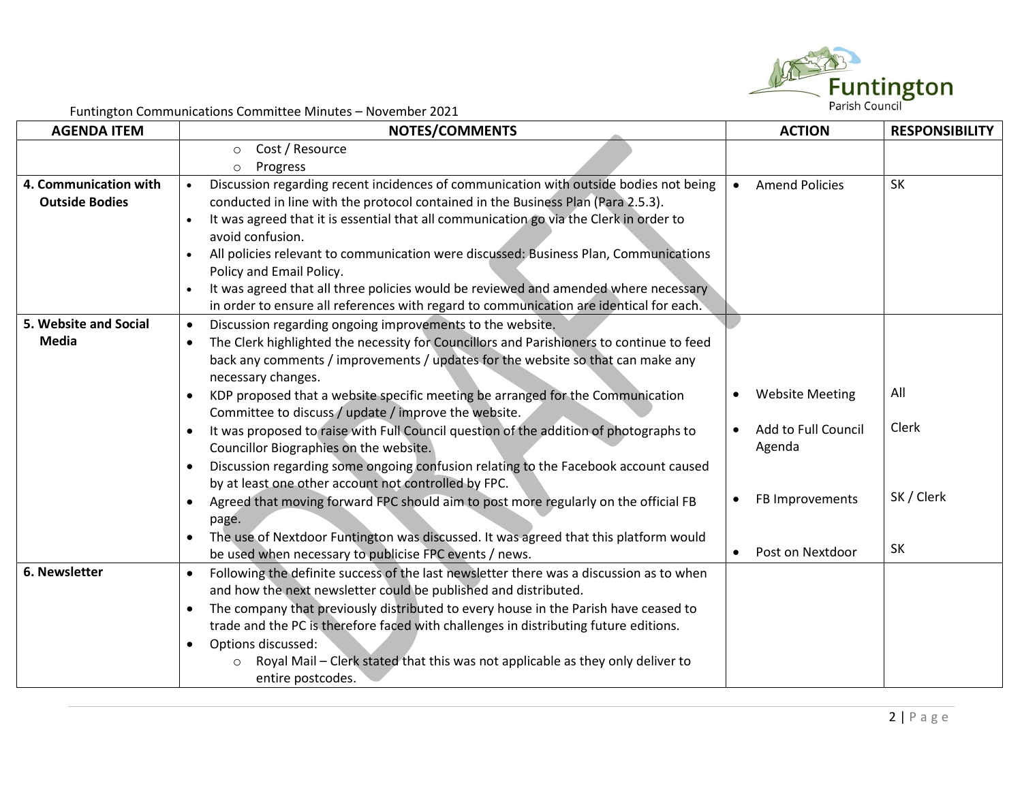

Funtington Communications Committee Minutes – November 2021

| <b>AGENDA ITEM</b>    | $\frac{1}{2}$ and $\frac{1}{2}$ . The commutations commuted in the condition $\frac{1}{2}$<br><b>NOTES/COMMENTS</b> | <b>ACTION</b>                       | <b>RESPONSIBILITY</b> |
|-----------------------|---------------------------------------------------------------------------------------------------------------------|-------------------------------------|-----------------------|
|                       | Cost / Resource<br>$\circ$                                                                                          |                                     |                       |
|                       | Progress<br>$\circ$                                                                                                 |                                     |                       |
| 4. Communication with | Discussion regarding recent incidences of communication with outside bodies not being                               | <b>Amend Policies</b>               | <b>SK</b>             |
| <b>Outside Bodies</b> | conducted in line with the protocol contained in the Business Plan (Para 2.5.3).                                    |                                     |                       |
|                       | It was agreed that it is essential that all communication go via the Clerk in order to                              |                                     |                       |
|                       | avoid confusion.                                                                                                    |                                     |                       |
|                       | All policies relevant to communication were discussed: Business Plan, Communications                                |                                     |                       |
|                       | Policy and Email Policy.                                                                                            |                                     |                       |
|                       | It was agreed that all three policies would be reviewed and amended where necessary                                 |                                     |                       |
|                       | in order to ensure all references with regard to communication are identical for each.                              |                                     |                       |
| 5. Website and Social | Discussion regarding ongoing improvements to the website.<br>$\bullet$                                              |                                     |                       |
| Media                 | The Clerk highlighted the necessity for Councillors and Parishioners to continue to feed                            |                                     |                       |
|                       | back any comments / improvements / updates for the website so that can make any                                     |                                     |                       |
|                       | necessary changes.                                                                                                  |                                     |                       |
|                       | KDP proposed that a website specific meeting be arranged for the Communication<br>$\bullet$                         | <b>Website Meeting</b><br>$\bullet$ | All                   |
|                       | Committee to discuss / update / improve the website.                                                                |                                     |                       |
|                       | It was proposed to raise with Full Council question of the addition of photographs to<br>$\bullet$                  | Add to Full Council                 | Clerk                 |
|                       | Councillor Biographies on the website.                                                                              | Agenda                              |                       |
|                       | Discussion regarding some ongoing confusion relating to the Facebook account caused<br>$\bullet$                    |                                     |                       |
|                       | by at least one other account not controlled by FPC.                                                                |                                     | SK / Clerk            |
|                       | Agreed that moving forward FPC should aim to post more regularly on the official FB<br>$\bullet$                    | FB Improvements                     |                       |
|                       | page.                                                                                                               |                                     |                       |
|                       | The use of Nextdoor Funtington was discussed. It was agreed that this platform would                                |                                     | SK                    |
|                       | be used when necessary to publicise FPC events / news.                                                              | Post on Nextdoor                    |                       |
| 6. Newsletter         | Following the definite success of the last newsletter there was a discussion as to when<br>$\bullet$                |                                     |                       |
|                       | and how the next newsletter could be published and distributed.                                                     |                                     |                       |
|                       | The company that previously distributed to every house in the Parish have ceased to<br>$\bullet$                    |                                     |                       |
|                       | trade and the PC is therefore faced with challenges in distributing future editions.                                |                                     |                       |
|                       | Options discussed:<br>$\bullet$                                                                                     |                                     |                       |
|                       | Royal Mail - Clerk stated that this was not applicable as they only deliver to<br>$\circ$                           |                                     |                       |
|                       | entire postcodes.                                                                                                   |                                     |                       |